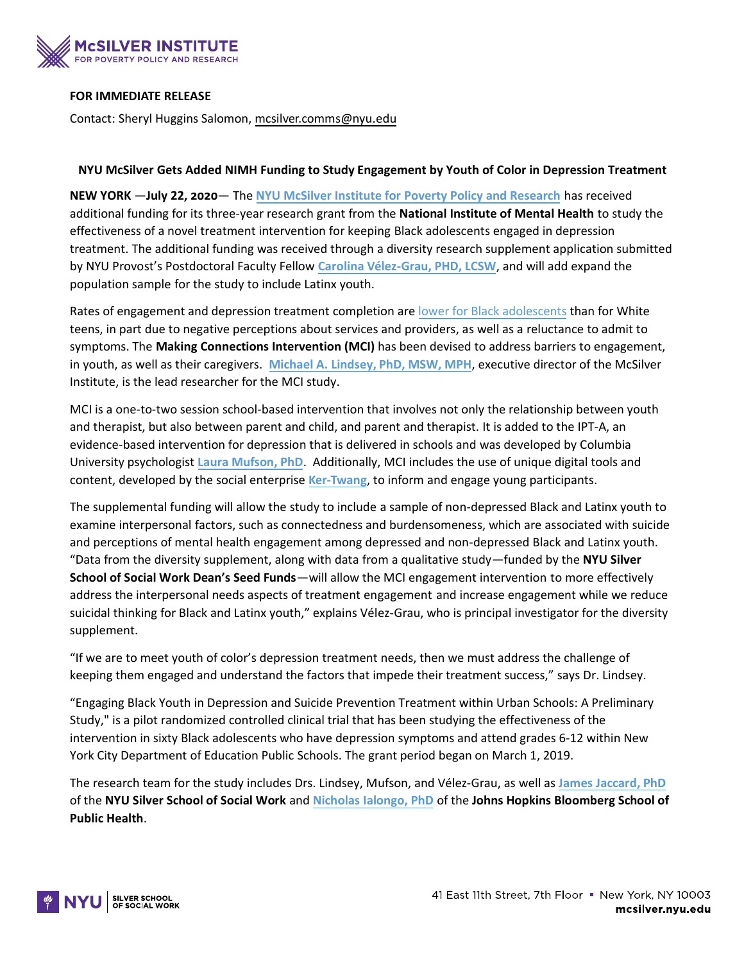

## **FOR IMMEDIATE RELEASE**

Contact: Sheryl Huggins Salomon, [mcsilver.comms@nyu.edu](mailto:mcsilver.comms@nyu.edu)

## **NYU McSilver Gets Added NIMH Funding to Study Engagement by Youth of Color in Depression Treatment**

**NEW YORK** —**July 22, 2020**— The **[NYU McSilver Institute for Poverty Policy and Research](http://mcsilver.nyu.edu/)** has received additional funding for its three-year research grant from the **National Institute of Mental Health** to study the effectiveness of a novel treatment intervention for keeping Black adolescents engaged in depression treatment. The additional funding was received through a diversity research supplement application submitted by NYU Provost's Postdoctoral Faculty Fellow **[Carolina Vélez-Grau, PHD, LCSW](https://mcsilver.nyu.edu/bio/carolina-velez-grau/)**, and will add expand the population sample for the study to include Latinx youth.

Rates of engagement and depression treatment completion are [lower for Black adolescents](https://www.ncbi.nlm.nih.gov/pmc/articles/PMC3215099/) than for White teens, in part due to negative perceptions about services and providers, as well as a reluctance to admit to symptoms. The **Making Connections Intervention (MCI)** has been devised to address barriers to engagement, in youth, as well as their caregivers. **[Michael A. Lindsey, PhD, MSW, MPH](http://mcsilver.nyu.edu/staff/michael-lindsey)**, executive director of the McSilver Institute, is the lead researcher for the MCI study.

MCI is a one-to-two session school-based intervention that involves not only the relationship between youth and therapist, but also between parent and child, and parent and therapist. It is added to the IPT-A, an evidence-based intervention for depression that is delivered in schools and was developed by Columbia University psychologist **[Laura Mufson, PhD](https://www.columbiapsychiatry.org/profile/laura-mufson-phd)**. Additionally, MCI includes the use of unique digital tools and content, developed by the social enterprise **[Ker-Twang](http://www.ker-twang.com/)**, to inform and engage young participants.

The supplemental funding will allow the study to include a sample of non-depressed Black and Latinx youth to examine interpersonal factors, such as connectedness and burdensomeness, which are associated with suicide and perceptions of mental health engagement among depressed and non-depressed Black and Latinx youth. "Data from the diversity supplement, along with data from a qualitative study—funded by the **NYU Silver School of Social Work Dean's Seed Funds**—will allow the MCI engagement intervention to more effectively address the interpersonal needs aspects of treatment engagement and increase engagement while we reduce suicidal thinking for Black and Latinx youth," explains Vélez-Grau, who is principal investigator for the diversity supplement.

"If we are to meet youth of color's depression treatment needs, then we must address the challenge of keeping them engaged and understand the factors that impede their treatment success," says Dr. Lindsey.

"Engaging Black Youth in Depression and Suicide Prevention Treatment within Urban Schools: A Preliminary Study," is a pilot randomized controlled clinical trial that has been studying the effectiveness of the intervention in sixty Black adolescents who have depression symptoms and attend grades 6-12 within New York City Department of Education Public Schools. The grant period began on March 1, 2019.

The research team for the study includes Drs. Lindsey, Mufson, and Vélez-Grau, as well as **[James Jaccard, PhD](https://socialwork.nyu.edu/our-faculty/full-time/james-jaccard.html)** of the **NYU Silver School of Social Work** and **[Nicholas Ialongo, PhD](https://www.jhsph.edu/faculty/directory/profile/332/nicholas-ialongo)** of the **Johns Hopkins Bloomberg School of Public Health**.